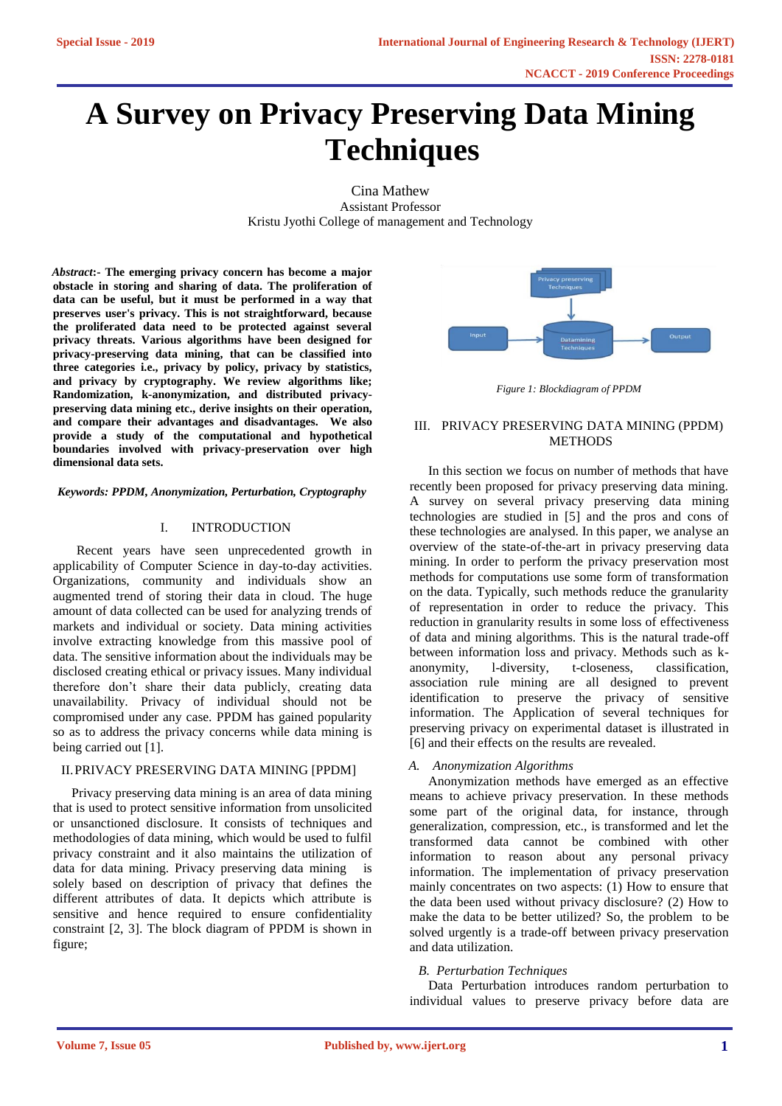# **A Survey on Privacy Preserving Data Mining Techniques**

Cina Mathew Assistant Professor Kristu Jyothi College of management and Technology

*Abstract***:- The emerging privacy concern has become a major obstacle in storing and sharing of data. The proliferation of data can be useful, but it must be performed in a way that preserves user's privacy. This is not straightforward, because the proliferated data need to be protected against several privacy threats. Various algorithms have been designed for privacy-preserving data mining, that can be classified into three categories i.e., privacy by policy, privacy by statistics, and privacy by cryptography. We review algorithms like; Randomization, k-anonymization, and distributed privacypreserving data mining etc., derive insights on their operation, and compare their advantages and disadvantages. We also provide a study of the computational and hypothetical boundaries involved with privacy-preservation over high dimensional data sets.** 

#### *Keywords: PPDM, Anonymization, Perturbation, Cryptography*

#### I. INTRODUCTION

 Recent years have seen unprecedented growth in applicability of Computer Science in day-to-day activities. Organizations, community and individuals show an augmented trend of storing their data in cloud. The huge amount of data collected can be used for analyzing trends of markets and individual or society. Data mining activities involve extracting knowledge from this massive pool of data. The sensitive information about the individuals may be disclosed creating ethical or privacy issues. Many individual therefore don't share their data publicly, creating data unavailability. Privacy of individual should not be compromised under any case. PPDM has gained popularity so as to address the privacy concerns while data mining is being carried out [1].

#### II.PRIVACY PRESERVING DATA MINING [PPDM]

Privacy preserving data mining is an area of data mining that is used to protect sensitive information from unsolicited or unsanctioned disclosure. It consists of techniques and methodologies of data mining, which would be used to fulfil privacy constraint and it also maintains the utilization of data for data mining. Privacy preserving data mining is solely based on description of privacy that defines the different attributes of data. It depicts which attribute is sensitive and hence required to ensure confidentiality constraint [2, 3]. The block diagram of PPDM is shown in figure;



*Figure 1: Blockdiagram of PPDM*

#### III. PRIVACY PRESERVING DATA MINING (PPDM) **METHODS**

In this section we focus on number of methods that have recently been proposed for privacy preserving data mining. A survey on several privacy preserving data mining technologies are studied in [5] and the pros and cons of these technologies are analysed. In this paper, we analyse an overview of the state-of-the-art in privacy preserving data mining. In order to perform the privacy preservation most methods for computations use some form of transformation on the data. Typically, such methods reduce the granularity of representation in order to reduce the privacy. This reduction in granularity results in some loss of effectiveness of data and mining algorithms. This is the natural trade-off between information loss and privacy. Methods such as kanonymity, l-diversity, t-closeness, classification, association rule mining are all designed to prevent identification to preserve the privacy of sensitive information. The Application of several techniques for preserving privacy on experimental dataset is illustrated in [6] and their effects on the results are revealed.

#### *A. Anonymization Algorithms*

Anonymization methods have emerged as an effective means to achieve privacy preservation. In these methods some part of the original data, for instance, through generalization, compression, etc., is transformed and let the transformed data cannot be combined with other information to reason about any personal privacy information. The implementation of privacy preservation mainly concentrates on two aspects: (1) How to ensure that the data been used without privacy disclosure? (2) How to make the data to be better utilized? So, the problem to be solved urgently is a trade-off between privacy preservation and data utilization.

#### *B. Perturbation Techniques*

Data Perturbation introduces random perturbation to individual values to preserve privacy before data are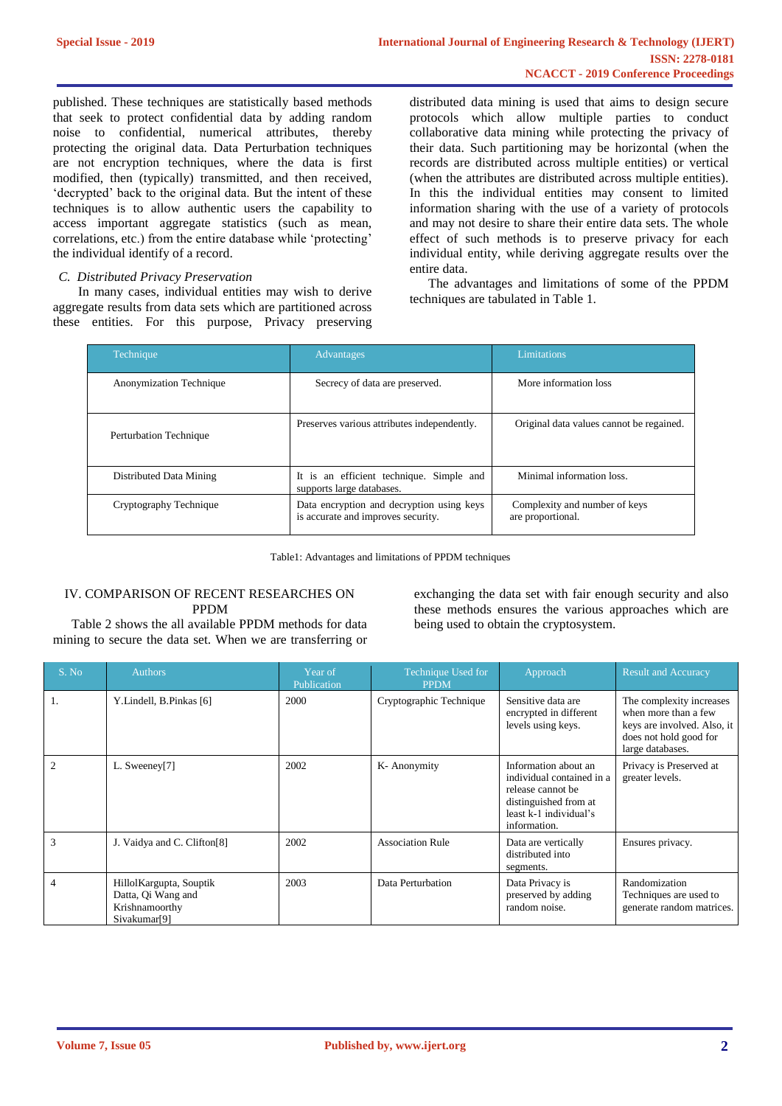published. These techniques are statistically based methods that seek to protect confidential data by adding random noise to confidential, numerical attributes, thereby protecting the original data. Data Perturbation techniques are not encryption techniques, where the data is first modified, then (typically) transmitted, and then received, 'decrypted' back to the original data. But the intent of these techniques is to allow authentic users the capability to access important aggregate statistics (such as mean, correlations, etc.) from the entire database while 'protecting' the individual identify of a record.

## *C. Distributed Privacy Preservation*

 In many cases, individual entities may wish to derive aggregate results from data sets which are partitioned across these entities. For this purpose, Privacy preserving distributed data mining is used that aims to design secure protocols which allow multiple parties to conduct collaborative data mining while protecting the privacy of their data. Such partitioning may be horizontal (when the records are distributed across multiple entities) or vertical (when the attributes are distributed across multiple entities). In this the individual entities may consent to limited information sharing with the use of a variety of protocols and may not desire to share their entire data sets. The whole effect of such methods is to preserve privacy for each individual entity, while deriving aggregate results over the entire data.

The advantages and limitations of some of the PPDM techniques are tabulated in Table 1.

| <b>Technique</b>        | Advantages                                                                      | Limitations                                        |
|-------------------------|---------------------------------------------------------------------------------|----------------------------------------------------|
| Anonymization Technique | Secrecy of data are preserved.                                                  | More information loss                              |
| Perturbation Technique  | Preserves various attributes independently.                                     | Original data values cannot be regained.           |
| Distributed Data Mining | It is an efficient technique. Simple and<br>supports large databases.           | Minimal information loss.                          |
| Cryptography Technique  | Data encryption and decryption using keys<br>is accurate and improves security. | Complexity and number of keys<br>are proportional. |

Table1: Advantages and limitations of PPDM techniques

## IV. COMPARISON OF RECENT RESEARCHES ON PPDM

Table 2 shows the all available PPDM methods for data mining to secure the data set. When we are transferring or exchanging the data set with fair enough security and also these methods ensures the various approaches which are being used to obtain the cryptosystem.

| S. No          | <b>Authors</b>                                                                               | Year of<br>Publication | Technique Used for<br><b>PPDM</b> | Approach                                                                                                                                  | <b>Result and Accuracy</b>                                                                                                    |
|----------------|----------------------------------------------------------------------------------------------|------------------------|-----------------------------------|-------------------------------------------------------------------------------------------------------------------------------------------|-------------------------------------------------------------------------------------------------------------------------------|
| 1.             | Y.Lindell, B.Pinkas [6]                                                                      | 2000                   | Cryptographic Technique           | Sensitive data are<br>encrypted in different<br>levels using keys.                                                                        | The complexity increases<br>when more than a few<br>keys are involved. Also, it<br>does not hold good for<br>large databases. |
| $\overline{c}$ | L. Sweeney[7]                                                                                | 2002                   | K-Anonymity                       | Information about an<br>individual contained in a<br>release cannot be<br>distinguished from at<br>least k-1 individual's<br>information. | Privacy is Preserved at<br>greater levels.                                                                                    |
| $\mathbf{3}$   | J. Vaidya and C. Clifton <sup>[8]</sup>                                                      | 2002                   | <b>Association Rule</b>           | Data are vertically<br>distributed into<br>segments.                                                                                      | Ensures privacy.                                                                                                              |
| 4              | Hillol Kargupta, Souptik<br>Datta, Qi Wang and<br>Krishnamoorthy<br>Sivakumar <sup>[9]</sup> | 2003                   | Data Perturbation                 | Data Privacy is<br>preserved by adding<br>random noise.                                                                                   | Randomization<br>Techniques are used to<br>generate random matrices.                                                          |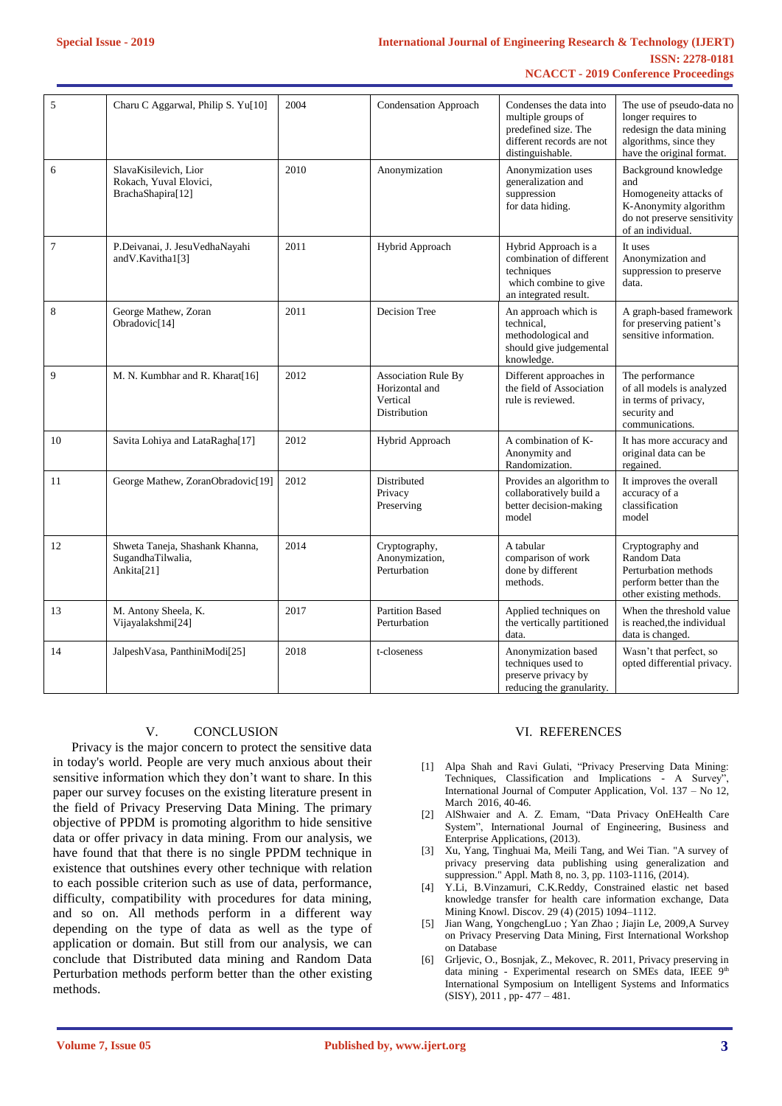#### **International Journal of Engineering Research & Technology (IJERT) ISSN: 2278-0181 NCACCT - 2019 Conference Proceedings**

| 5              | Charu C Aggarwal, Philip S. Yu[10]                                   | 2004 | <b>Condensation Approach</b>                                             | Condenses the data into<br>multiple groups of<br>predefined size. The<br>different records are not<br>distinguishable. | The use of pseudo-data no<br>longer requires to<br>redesign the data mining<br>algorithms, since they<br>have the original format. |
|----------------|----------------------------------------------------------------------|------|--------------------------------------------------------------------------|------------------------------------------------------------------------------------------------------------------------|------------------------------------------------------------------------------------------------------------------------------------|
| 6              | SlavaKisilevich, Lior<br>Rokach, Yuval Elovici,<br>BrachaShapira[12] | 2010 | Anonymization                                                            | Anonymization uses<br>generalization and<br>suppression<br>for data hiding.                                            | Background knowledge<br>and<br>Homogeneity attacks of<br>K-Anonymity algorithm<br>do not preserve sensitivity<br>of an individual. |
| $\overline{7}$ | P.Deivanai, J. JesuVedhaNayahi<br>and V. Kavitha1[3]                 | 2011 | Hybrid Approach                                                          | Hybrid Approach is a<br>combination of different<br>techniques<br>which combine to give<br>an integrated result.       | It uses<br>Anonymization and<br>suppression to preserve<br>data.                                                                   |
| 8              | George Mathew, Zoran<br>Obradovic <sup>[14]</sup>                    | 2011 | Decision Tree                                                            | An approach which is<br>technical,<br>methodological and<br>should give judgemental<br>knowledge.                      | A graph-based framework<br>for preserving patient's<br>sensitive information.                                                      |
| 9              | M. N. Kumbhar and R. Kharat[16]                                      | 2012 | <b>Association Rule By</b><br>Horizontal and<br>Vertical<br>Distribution | Different approaches in<br>the field of Association<br>rule is reviewed.                                               | The performance<br>of all models is analyzed<br>in terms of privacy,<br>security and<br>communications.                            |
| 10             | Savita Lohiya and LataRagha[17]                                      | 2012 | Hybrid Approach                                                          | A combination of K-<br>Anonymity and<br>Randomization.                                                                 | It has more accuracy and<br>original data can be<br>regained.                                                                      |
| 11             | George Mathew, ZoranObradovic[19]                                    | 2012 | Distributed<br>Privacy<br>Preserving                                     | Provides an algorithm to<br>collaboratively build a<br>better decision-making<br>model                                 | It improves the overall<br>accuracy of a<br>classification<br>model                                                                |
| 12             | Shweta Taneja, Shashank Khanna,<br>SugandhaTilwalia,<br>Ankita[21]   | 2014 | Cryptography,<br>Anonymization,<br>Perturbation                          | A tabular<br>comparison of work<br>done by different<br>methods.                                                       | Cryptography and<br>Random Data<br>Perturbation methods<br>perform better than the<br>other existing methods.                      |
| 13             | M. Antony Sheela, K.<br>Vijayalakshmi[24]                            | 2017 | <b>Partition Based</b><br>Perturbation                                   | Applied techniques on<br>the vertically partitioned<br>data.                                                           | When the threshold value<br>is reached the individual<br>data is changed.                                                          |
| 14             | Jalpesh Vasa, Panthini Modi <sup>[25]</sup>                          | 2018 | t-closeness                                                              | Anonymization based<br>techniques used to<br>preserve privacy by<br>reducing the granularity.                          | Wasn't that perfect, so<br>opted differential privacy.                                                                             |

## V. CONCLUSION

Privacy is the major concern to protect the sensitive data in today's world. People are very much anxious about their sensitive information which they don't want to share. In this paper our survey focuses on the existing literature present in the field of Privacy Preserving Data Mining. The primary objective of PPDM is promoting algorithm to hide sensitive data or offer privacy in data mining. From our analysis, we have found that that there is no single PPDM technique in existence that outshines every other technique with relation to each possible criterion such as use of data, performance, difficulty, compatibility with procedures for data mining, and so on. All methods perform in a different way depending on the type of data as well as the type of application or domain. But still from our analysis, we can conclude that Distributed data mining and Random Data Perturbation methods perform better than the other existing methods.

## VI. REFERENCES

- [1] Alpa Shah and Ravi Gulati, "Privacy Preserving Data Mining: Techniques, Classification and Implications - A Survey", International Journal of Computer Application, Vol. 137 – No 12, March 2016, 40-46.
- [2] AlShwaier and A. Z. Emam, "Data Privacy OnEHealth Care System", International Journal of Engineering, Business and Enterprise Applications, (2013).
- [3] Xu, Yang, Tinghuai Ma, Meili Tang, and Wei Tian. "A survey of privacy preserving data publishing using generalization and suppression." Appl. Math 8, no. 3, pp. 1103-1116, (2014).
- [4] Y.Li, B.Vinzamuri, C.K.Reddy, Constrained elastic net based knowledge transfer for health care information exchange, Data Mining Knowl. Discov. 29 (4) (2015) 1094–1112.
- [5] Jian Wang, YongchengLuo ; Yan Zhao ; Jiajin Le, 2009,A Survey on Privacy Preserving Data Mining, First International Workshop on Database
- [6] Grljevic, O., Bosnjak, Z., Mekovec, R. 2011, Privacy preserving in data mining - Experimental research on SMEs data, IEEE 9th International Symposium on Intelligent Systems and Informatics (SISY), 2011 , pp- 477 – 481.